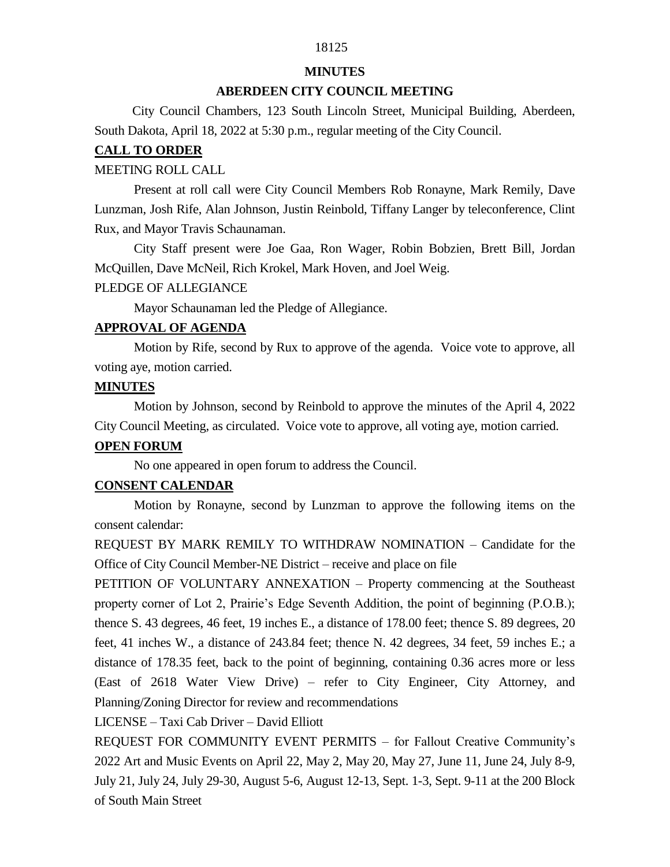# 18125

#### **MINUTES**

### **ABERDEEN CITY COUNCIL MEETING**

 City Council Chambers, 123 South Lincoln Street, Municipal Building, Aberdeen, South Dakota, April 18, 2022 at 5:30 p.m., regular meeting of the City Council.

### **CALL TO ORDER**

#### MEETING ROLL CALL

Present at roll call were City Council Members Rob Ronayne, Mark Remily, Dave Lunzman, Josh Rife, Alan Johnson, Justin Reinbold, Tiffany Langer by teleconference, Clint Rux, and Mayor Travis Schaunaman.

City Staff present were Joe Gaa, Ron Wager, Robin Bobzien, Brett Bill, Jordan McQuillen, Dave McNeil, Rich Krokel, Mark Hoven, and Joel Weig.

#### PLEDGE OF ALLEGIANCE

Mayor Schaunaman led the Pledge of Allegiance.

### **APPROVAL OF AGENDA**

Motion by Rife, second by Rux to approve of the agenda. Voice vote to approve, all voting aye, motion carried.

### **MINUTES**

Motion by Johnson, second by Reinbold to approve the minutes of the April 4, 2022 City Council Meeting, as circulated. Voice vote to approve, all voting aye, motion carried.

#### **OPEN FORUM**

No one appeared in open forum to address the Council.

### **CONSENT CALENDAR**

Motion by Ronayne, second by Lunzman to approve the following items on the consent calendar:

REQUEST BY MARK REMILY TO WITHDRAW NOMINATION – Candidate for the Office of City Council Member-NE District – receive and place on file

PETITION OF VOLUNTARY ANNEXATION – Property commencing at the Southeast property corner of Lot 2, Prairie's Edge Seventh Addition, the point of beginning (P.O.B.); thence S. 43 degrees, 46 feet, 19 inches E., a distance of 178.00 feet; thence S. 89 degrees, 20 feet, 41 inches W., a distance of 243.84 feet; thence N. 42 degrees, 34 feet, 59 inches E.; a distance of 178.35 feet, back to the point of beginning, containing 0.36 acres more or less (East of 2618 Water View Drive) – refer to City Engineer, City Attorney, and Planning/Zoning Director for review and recommendations

LICENSE – Taxi Cab Driver – David Elliott

REQUEST FOR COMMUNITY EVENT PERMITS – for Fallout Creative Community's 2022 Art and Music Events on April 22, May 2, May 20, May 27, June 11, June 24, July 8-9, July 21, July 24, July 29-30, August 5-6, August 12-13, Sept. 1-3, Sept. 9-11 at the 200 Block of South Main Street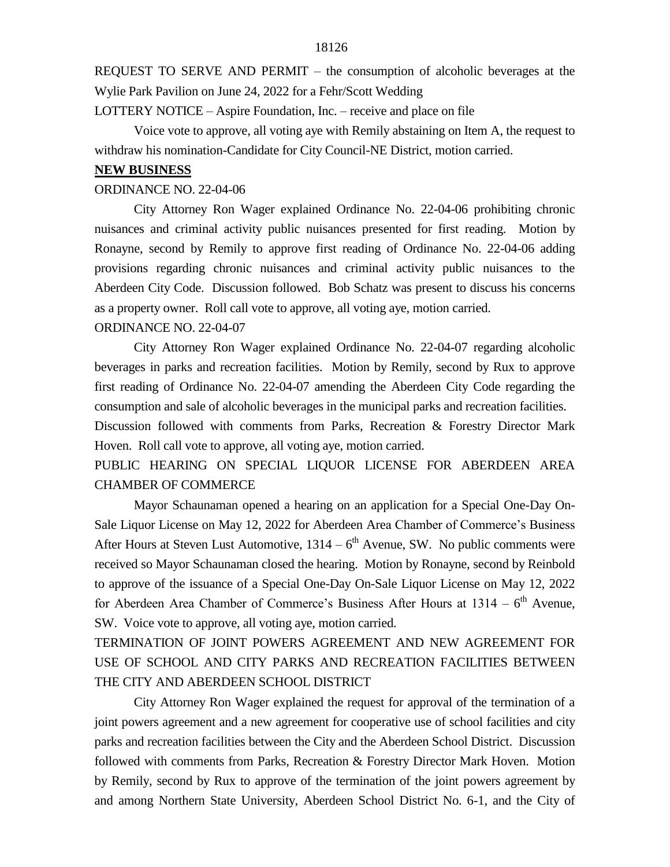REQUEST TO SERVE AND PERMIT – the consumption of alcoholic beverages at the Wylie Park Pavilion on June 24, 2022 for a Fehr/Scott Wedding

LOTTERY NOTICE – Aspire Foundation, Inc. – receive and place on file

Voice vote to approve, all voting aye with Remily abstaining on Item A, the request to withdraw his nomination-Candidate for City Council-NE District, motion carried.

#### **NEW BUSINESS**

### ORDINANCE NO. 22-04-06

City Attorney Ron Wager explained Ordinance No. 22-04-06 prohibiting chronic nuisances and criminal activity public nuisances presented for first reading. Motion by Ronayne, second by Remily to approve first reading of Ordinance No. 22-04-06 adding provisions regarding chronic nuisances and criminal activity public nuisances to the Aberdeen City Code. Discussion followed. Bob Schatz was present to discuss his concerns as a property owner. Roll call vote to approve, all voting aye, motion carried.

## ORDINANCE NO. 22-04-07

City Attorney Ron Wager explained Ordinance No. 22-04-07 regarding alcoholic beverages in parks and recreation facilities. Motion by Remily, second by Rux to approve first reading of Ordinance No. 22-04-07 amending the Aberdeen City Code regarding the consumption and sale of alcoholic beverages in the municipal parks and recreation facilities.

Discussion followed with comments from Parks, Recreation & Forestry Director Mark Hoven. Roll call vote to approve, all voting aye, motion carried.

PUBLIC HEARING ON SPECIAL LIQUOR LICENSE FOR ABERDEEN AREA CHAMBER OF COMMERCE

Mayor Schaunaman opened a hearing on an application for a Special One-Day On-Sale Liquor License on May 12, 2022 for Aberdeen Area Chamber of Commerce's Business After Hours at Steven Lust Automotive,  $1314 - 6$ <sup>th</sup> Avenue, SW. No public comments were received so Mayor Schaunaman closed the hearing. Motion by Ronayne, second by Reinbold to approve of the issuance of a Special One-Day On-Sale Liquor License on May 12, 2022 for Aberdeen Area Chamber of Commerce's Business After Hours at  $1314 - 6$ <sup>th</sup> Avenue, SW. Voice vote to approve, all voting aye, motion carried.

TERMINATION OF JOINT POWERS AGREEMENT AND NEW AGREEMENT FOR USE OF SCHOOL AND CITY PARKS AND RECREATION FACILITIES BETWEEN THE CITY AND ABERDEEN SCHOOL DISTRICT

City Attorney Ron Wager explained the request for approval of the termination of a joint powers agreement and a new agreement for cooperative use of school facilities and city parks and recreation facilities between the City and the Aberdeen School District. Discussion followed with comments from Parks, Recreation & Forestry Director Mark Hoven. Motion by Remily, second by Rux to approve of the termination of the joint powers agreement by and among Northern State University, Aberdeen School District No. 6-1, and the City of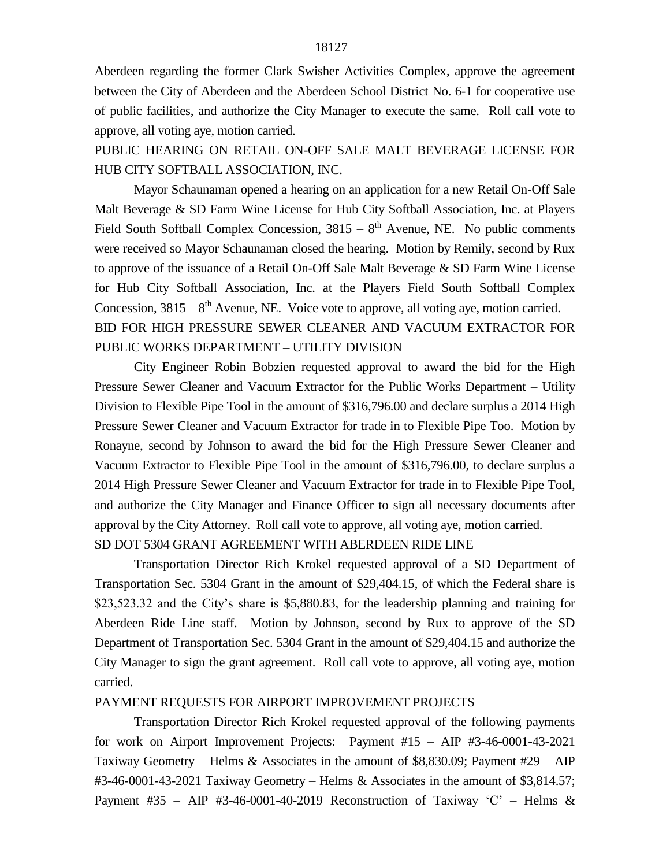Aberdeen regarding the former Clark Swisher Activities Complex, approve the agreement between the City of Aberdeen and the Aberdeen School District No. 6-1 for cooperative use of public facilities, and authorize the City Manager to execute the same. Roll call vote to approve, all voting aye, motion carried.

PUBLIC HEARING ON RETAIL ON-OFF SALE MALT BEVERAGE LICENSE FOR HUB CITY SOFTBALL ASSOCIATION, INC.

Mayor Schaunaman opened a hearing on an application for a new Retail On-Off Sale Malt Beverage & SD Farm Wine License for Hub City Softball Association, Inc. at Players Field South Softball Complex Concession,  $3815 - 8$ <sup>th</sup> Avenue, NE. No public comments were received so Mayor Schaunaman closed the hearing. Motion by Remily, second by Rux to approve of the issuance of a Retail On-Off Sale Malt Beverage & SD Farm Wine License for Hub City Softball Association, Inc. at the Players Field South Softball Complex Concession,  $3815 - 8$ <sup>th</sup> Avenue, NE. Voice vote to approve, all voting aye, motion carried. BID FOR HIGH PRESSURE SEWER CLEANER AND VACUUM EXTRACTOR FOR PUBLIC WORKS DEPARTMENT – UTILITY DIVISION

City Engineer Robin Bobzien requested approval to award the bid for the High Pressure Sewer Cleaner and Vacuum Extractor for the Public Works Department – Utility Division to Flexible Pipe Tool in the amount of \$316,796.00 and declare surplus a 2014 High Pressure Sewer Cleaner and Vacuum Extractor for trade in to Flexible Pipe Too. Motion by Ronayne, second by Johnson to award the bid for the High Pressure Sewer Cleaner and Vacuum Extractor to Flexible Pipe Tool in the amount of \$316,796.00, to declare surplus a 2014 High Pressure Sewer Cleaner and Vacuum Extractor for trade in to Flexible Pipe Tool, and authorize the City Manager and Finance Officer to sign all necessary documents after approval by the City Attorney. Roll call vote to approve, all voting aye, motion carried.

SD DOT 5304 GRANT AGREEMENT WITH ABERDEEN RIDE LINE

Transportation Director Rich Krokel requested approval of a SD Department of Transportation Sec. 5304 Grant in the amount of \$29,404.15, of which the Federal share is \$23,523.32 and the City's share is \$5,880.83, for the leadership planning and training for Aberdeen Ride Line staff. Motion by Johnson, second by Rux to approve of the SD Department of Transportation Sec. 5304 Grant in the amount of \$29,404.15 and authorize the City Manager to sign the grant agreement. Roll call vote to approve, all voting aye, motion carried.

#### PAYMENT REQUESTS FOR AIRPORT IMPROVEMENT PROJECTS

Transportation Director Rich Krokel requested approval of the following payments for work on Airport Improvement Projects: Payment #15 – AIP #3-46-0001-43-2021 Taxiway Geometry – Helms & Associates in the amount of \$8,830.09; Payment #29 – AIP #3-46-0001-43-2021 Taxiway Geometry – Helms & Associates in the amount of \$3,814.57; Payment #35 – AIP #3-46-0001-40-2019 Reconstruction of Taxiway 'C' – Helms &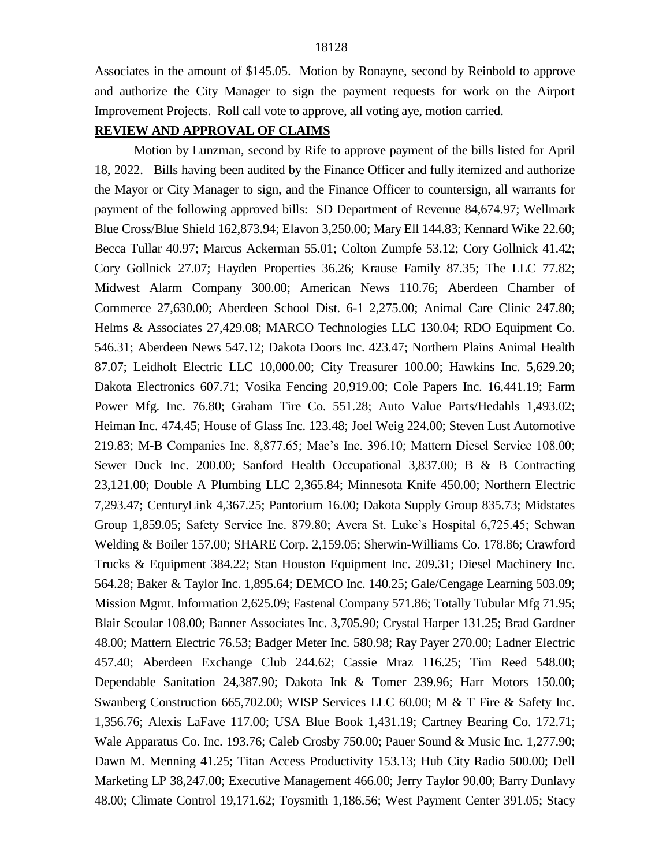Associates in the amount of \$145.05. Motion by Ronayne, second by Reinbold to approve and authorize the City Manager to sign the payment requests for work on the Airport Improvement Projects. Roll call vote to approve, all voting aye, motion carried.

### **REVIEW AND APPROVAL OF CLAIMS**

Motion by Lunzman, second by Rife to approve payment of the bills listed for April 18, 2022. Bills having been audited by the Finance Officer and fully itemized and authorize the Mayor or City Manager to sign, and the Finance Officer to countersign, all warrants for payment of the following approved bills: SD Department of Revenue 84,674.97; Wellmark Blue Cross/Blue Shield 162,873.94; Elavon 3,250.00; Mary Ell 144.83; Kennard Wike 22.60; Becca Tullar 40.97; Marcus Ackerman 55.01; Colton Zumpfe 53.12; Cory Gollnick 41.42; Cory Gollnick 27.07; Hayden Properties 36.26; Krause Family 87.35; The LLC 77.82; Midwest Alarm Company 300.00; American News 110.76; Aberdeen Chamber of Commerce 27,630.00; Aberdeen School Dist. 6-1 2,275.00; Animal Care Clinic 247.80; Helms & Associates 27,429.08; MARCO Technologies LLC 130.04; RDO Equipment Co. 546.31; Aberdeen News 547.12; Dakota Doors Inc. 423.47; Northern Plains Animal Health 87.07; Leidholt Electric LLC 10,000.00; City Treasurer 100.00; Hawkins Inc. 5,629.20; Dakota Electronics 607.71; Vosika Fencing 20,919.00; Cole Papers Inc. 16,441.19; Farm Power Mfg. Inc. 76.80; Graham Tire Co. 551.28; Auto Value Parts/Hedahls 1,493.02; Heiman Inc. 474.45; House of Glass Inc. 123.48; Joel Weig 224.00; Steven Lust Automotive 219.83; M-B Companies Inc. 8,877.65; Mac's Inc. 396.10; Mattern Diesel Service 108.00; Sewer Duck Inc. 200.00; Sanford Health Occupational 3,837.00; B & B Contracting 23,121.00; Double A Plumbing LLC 2,365.84; Minnesota Knife 450.00; Northern Electric 7,293.47; CenturyLink 4,367.25; Pantorium 16.00; Dakota Supply Group 835.73; Midstates Group 1,859.05; Safety Service Inc. 879.80; Avera St. Luke's Hospital 6,725.45; Schwan Welding & Boiler 157.00; SHARE Corp. 2,159.05; Sherwin-Williams Co. 178.86; Crawford Trucks & Equipment 384.22; Stan Houston Equipment Inc. 209.31; Diesel Machinery Inc. 564.28; Baker & Taylor Inc. 1,895.64; DEMCO Inc. 140.25; Gale/Cengage Learning 503.09; Mission Mgmt. Information 2,625.09; Fastenal Company 571.86; Totally Tubular Mfg 71.95; Blair Scoular 108.00; Banner Associates Inc. 3,705.90; Crystal Harper 131.25; Brad Gardner 48.00; Mattern Electric 76.53; Badger Meter Inc. 580.98; Ray Payer 270.00; Ladner Electric 457.40; Aberdeen Exchange Club 244.62; Cassie Mraz 116.25; Tim Reed 548.00; Dependable Sanitation 24,387.90; Dakota Ink & Tomer 239.96; Harr Motors 150.00; Swanberg Construction 665,702.00; WISP Services LLC 60.00; M & T Fire & Safety Inc. 1,356.76; Alexis LaFave 117.00; USA Blue Book 1,431.19; Cartney Bearing Co. 172.71; Wale Apparatus Co. Inc. 193.76; Caleb Crosby 750.00; Pauer Sound & Music Inc. 1,277.90; Dawn M. Menning 41.25; Titan Access Productivity 153.13; Hub City Radio 500.00; Dell Marketing LP 38,247.00; Executive Management 466.00; Jerry Taylor 90.00; Barry Dunlavy 48.00; Climate Control 19,171.62; Toysmith 1,186.56; West Payment Center 391.05; Stacy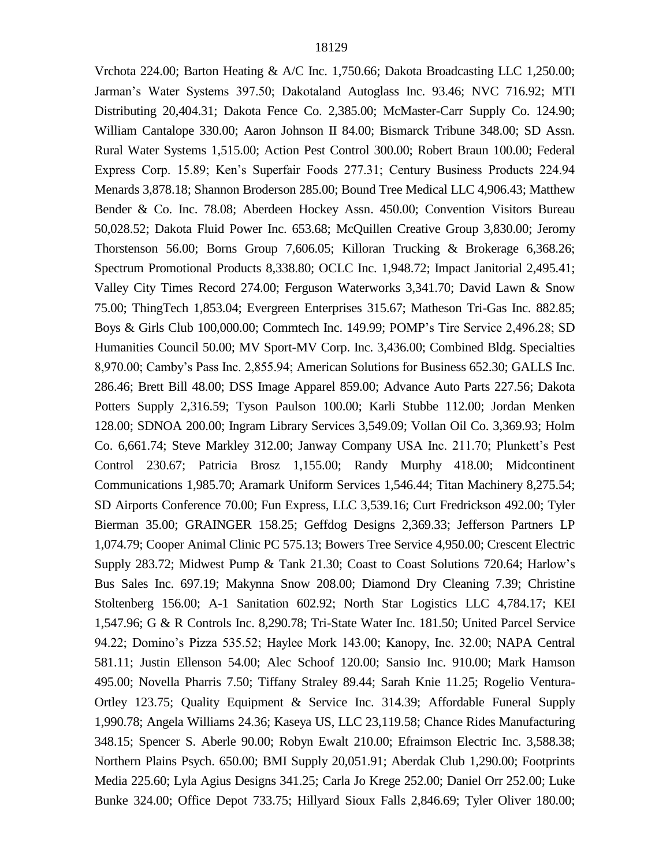Vrchota 224.00; Barton Heating & A/C Inc. 1,750.66; Dakota Broadcasting LLC 1,250.00; Jarman's Water Systems 397.50; Dakotaland Autoglass Inc. 93.46; NVC 716.92; MTI Distributing 20,404.31; Dakota Fence Co. 2,385.00; McMaster-Carr Supply Co. 124.90; William Cantalope 330.00; Aaron Johnson II 84.00; Bismarck Tribune 348.00; SD Assn. Rural Water Systems 1,515.00; Action Pest Control 300.00; Robert Braun 100.00; Federal Express Corp. 15.89; Ken's Superfair Foods 277.31; Century Business Products 224.94 Menards 3,878.18; Shannon Broderson 285.00; Bound Tree Medical LLC 4,906.43; Matthew Bender & Co. Inc. 78.08; Aberdeen Hockey Assn. 450.00; Convention Visitors Bureau 50,028.52; Dakota Fluid Power Inc. 653.68; McQuillen Creative Group 3,830.00; Jeromy Thorstenson 56.00; Borns Group 7,606.05; Killoran Trucking & Brokerage 6,368.26; Spectrum Promotional Products 8,338.80; OCLC Inc. 1,948.72; Impact Janitorial 2,495.41; Valley City Times Record 274.00; Ferguson Waterworks 3,341.70; David Lawn & Snow 75.00; ThingTech 1,853.04; Evergreen Enterprises 315.67; Matheson Tri-Gas Inc. 882.85; Boys & Girls Club 100,000.00; Commtech Inc. 149.99; POMP's Tire Service 2,496.28; SD Humanities Council 50.00; MV Sport-MV Corp. Inc. 3,436.00; Combined Bldg. Specialties 8,970.00; Camby's Pass Inc. 2,855.94; American Solutions for Business 652.30; GALLS Inc. 286.46; Brett Bill 48.00; DSS Image Apparel 859.00; Advance Auto Parts 227.56; Dakota Potters Supply 2,316.59; Tyson Paulson 100.00; Karli Stubbe 112.00; Jordan Menken 128.00; SDNOA 200.00; Ingram Library Services 3,549.09; Vollan Oil Co. 3,369.93; Holm Co. 6,661.74; Steve Markley 312.00; Janway Company USA Inc. 211.70; Plunkett's Pest Control 230.67; Patricia Brosz 1,155.00; Randy Murphy 418.00; Midcontinent Communications 1,985.70; Aramark Uniform Services 1,546.44; Titan Machinery 8,275.54; SD Airports Conference 70.00; Fun Express, LLC 3,539.16; Curt Fredrickson 492.00; Tyler Bierman 35.00; GRAINGER 158.25; Geffdog Designs 2,369.33; Jefferson Partners LP 1,074.79; Cooper Animal Clinic PC 575.13; Bowers Tree Service 4,950.00; Crescent Electric Supply 283.72; Midwest Pump & Tank 21.30; Coast to Coast Solutions 720.64; Harlow's Bus Sales Inc. 697.19; Makynna Snow 208.00; Diamond Dry Cleaning 7.39; Christine Stoltenberg 156.00; A-1 Sanitation 602.92; North Star Logistics LLC 4,784.17; KEI 1,547.96; G & R Controls Inc. 8,290.78; Tri-State Water Inc. 181.50; United Parcel Service 94.22; Domino's Pizza 535.52; Haylee Mork 143.00; Kanopy, Inc. 32.00; NAPA Central 581.11; Justin Ellenson 54.00; Alec Schoof 120.00; Sansio Inc. 910.00; Mark Hamson 495.00; Novella Pharris 7.50; Tiffany Straley 89.44; Sarah Knie 11.25; Rogelio Ventura-Ortley 123.75; Quality Equipment & Service Inc. 314.39; Affordable Funeral Supply 1,990.78; Angela Williams 24.36; Kaseya US, LLC 23,119.58; Chance Rides Manufacturing 348.15; Spencer S. Aberle 90.00; Robyn Ewalt 210.00; Efraimson Electric Inc. 3,588.38; Northern Plains Psych. 650.00; BMI Supply 20,051.91; Aberdak Club 1,290.00; Footprints Media 225.60; Lyla Agius Designs 341.25; Carla Jo Krege 252.00; Daniel Orr 252.00; Luke Bunke 324.00; Office Depot 733.75; Hillyard Sioux Falls 2,846.69; Tyler Oliver 180.00;